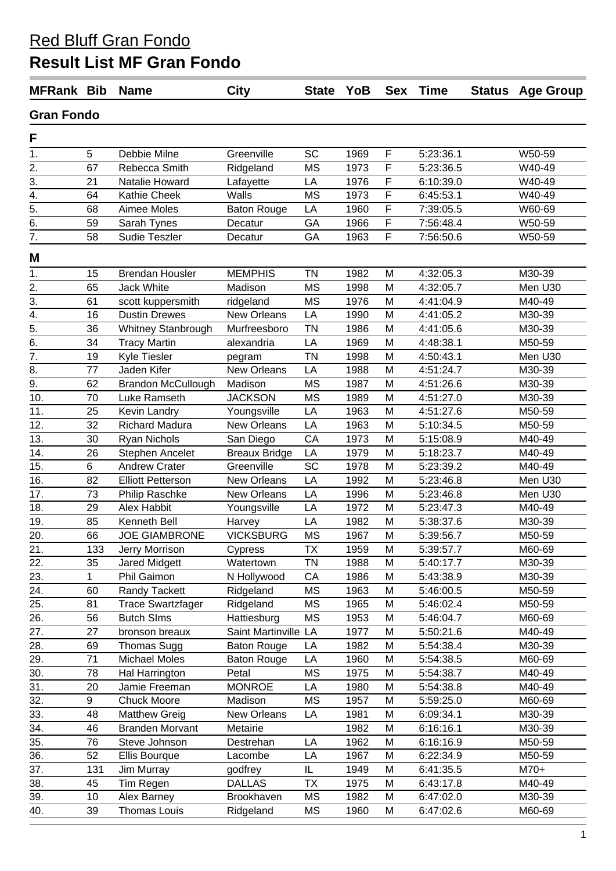## **Result List MF Gran Fondo**

| <b>MFRank Bib</b> |     | <b>Name</b>               | <b>City</b>          | State YoB |      |   | Sex Time  |  | <b>Status Age Group</b> |  |
|-------------------|-----|---------------------------|----------------------|-----------|------|---|-----------|--|-------------------------|--|
| <b>Gran Fondo</b> |     |                           |                      |           |      |   |           |  |                         |  |
| F                 |     |                           |                      |           |      |   |           |  |                         |  |
| 1.                | 5   | Debbie Milne              | Greenville           | SC        | 1969 | F | 5:23:36.1 |  | W50-59                  |  |
| 2.                | 67  | Rebecca Smith             | Ridgeland            | <b>MS</b> | 1973 | F | 5:23:36.5 |  | W40-49                  |  |
| 3.                | 21  | Natalie Howard            | Lafayette            | LA        | 1976 | F | 6:10:39.0 |  | W40-49                  |  |
| 4.                | 64  | Kathie Cheek              | Walls                | <b>MS</b> | 1973 | F | 6:45:53.1 |  | W40-49                  |  |
| 5.                | 68  | Aimee Moles               | <b>Baton Rouge</b>   | LA        | 1960 | F | 7:39:05.5 |  | W60-69                  |  |
| 6.                | 59  | Sarah Tynes               | Decatur              | GA        | 1966 | F | 7:56:48.4 |  | W50-59                  |  |
| $\overline{7}$ .  | 58  | Sudie Teszler             | Decatur              | GA        | 1963 | F | 7:56:50.6 |  | W50-59                  |  |
| M                 |     |                           |                      |           |      |   |           |  |                         |  |
| 1.                | 15  | <b>Brendan Housler</b>    | <b>MEMPHIS</b>       | <b>TN</b> | 1982 | M | 4:32:05.3 |  | M30-39                  |  |
| 2.                | 65  | <b>Jack White</b>         | Madison              | <b>MS</b> | 1998 | M | 4:32:05.7 |  | Men U30                 |  |
| 3.                | 61  | scott kuppersmith         | ridgeland            | <b>MS</b> | 1976 | M | 4:41:04.9 |  | M40-49                  |  |
| 4.                | 16  | <b>Dustin Drewes</b>      | <b>New Orleans</b>   | LA        | 1990 | M | 4:41:05.2 |  | M30-39                  |  |
| 5.                | 36  | Whitney Stanbrough        | Murfreesboro         | <b>TN</b> | 1986 | M | 4:41:05.6 |  | M30-39                  |  |
| 6.                | 34  | <b>Tracy Martin</b>       | alexandria           | LA        | 1969 | M | 4:48:38.1 |  | M50-59                  |  |
| 7.                | 19  | Kyle Tiesler              | pegram               | <b>TN</b> | 1998 | M | 4:50:43.1 |  | Men U30                 |  |
| 8.                | 77  | Jaden Kifer               | New Orleans          | LA        | 1988 | M | 4:51:24.7 |  | M30-39                  |  |
| 9.                | 62  | <b>Brandon McCullough</b> | Madison              | <b>MS</b> | 1987 | M | 4:51:26.6 |  | M30-39                  |  |
| 10.               | 70  | Luke Ramseth              | <b>JACKSON</b>       | <b>MS</b> | 1989 | M | 4:51:27.0 |  | M30-39                  |  |
| 11.               | 25  | Kevin Landry              | Youngsville          | LA        | 1963 | M | 4:51:27.6 |  | M50-59                  |  |
| 12.               | 32  | <b>Richard Madura</b>     | <b>New Orleans</b>   | LA        | 1963 | M | 5:10:34.5 |  | M50-59                  |  |
| 13.               | 30  | Ryan Nichols              | San Diego            | CA        | 1973 | M | 5:15:08.9 |  | M40-49                  |  |
| 14.               | 26  | Stephen Ancelet           | <b>Breaux Bridge</b> | LA        | 1979 | M | 5:18:23.7 |  | M40-49                  |  |
| 15.               | 6   | <b>Andrew Crater</b>      | Greenville           | <b>SC</b> | 1978 | M | 5:23:39.2 |  | M40-49                  |  |
| 16.               | 82  | <b>Elliott Petterson</b>  | <b>New Orleans</b>   | LA        | 1992 | M | 5:23:46.8 |  | Men U30                 |  |
| 17.               | 73  | Philip Raschke            | <b>New Orleans</b>   | LA        | 1996 | M | 5:23:46.8 |  | Men U30                 |  |
| 18.               | 29  | Alex Habbit               | Youngsville          | LA        | 1972 | M | 5:23:47.3 |  | M40-49                  |  |
| 19.               | 85  | Kenneth Bell              | Harvey               | LA        | 1982 | M | 5:38:37.6 |  | M30-39                  |  |
| 20.               | 66  | <b>JOE GIAMBRONE</b>      | <b>VICKSBURG</b>     | <b>MS</b> | 1967 | M | 5:39:56.7 |  | M50-59                  |  |
| 21.               | 133 | Jerry Morrison            | Cypress              | ТX        | 1959 | M | 5:39:57.7 |  | M60-69                  |  |
| 22.               | 35  | Jared Midgett             | Watertown            | <b>TN</b> | 1988 | M | 5:40:17.7 |  | M30-39                  |  |
| 23.               | 1   | Phil Gaimon               | N Hollywood          | CA        | 1986 | M | 5:43:38.9 |  | M30-39                  |  |
| 24.               | 60  | Randy Tackett             | Ridgeland            | <b>MS</b> | 1963 | M | 5:46:00.5 |  | M50-59                  |  |
| 25.               | 81  | <b>Trace Swartzfager</b>  | Ridgeland            | <b>MS</b> | 1965 | M | 5:46:02.4 |  | M50-59                  |  |
| 26.               | 56  | <b>Butch SIms</b>         | Hattiesburg          | <b>MS</b> | 1953 | M | 5:46:04.7 |  | M60-69                  |  |
| 27.               | 27  | bronson breaux            | Saint Martinville LA |           | 1977 | M | 5:50:21.6 |  | M40-49                  |  |
| 28.               | 69  | Thomas Sugg               | <b>Baton Rouge</b>   | LA        | 1982 | M | 5:54:38.4 |  | M30-39                  |  |
| 29.               | 71  | <b>Michael Moles</b>      | <b>Baton Rouge</b>   | LA        | 1960 | M | 5:54:38.5 |  | M60-69                  |  |
| 30.               | 78  | Hal Harrington            | Petal                | ΜS        | 1975 | M | 5:54:38.7 |  | M40-49                  |  |
| 31.               | 20  | Jamie Freeman             | <b>MONROE</b>        | LA        | 1980 | M | 5:54:38.8 |  | M40-49                  |  |
| 32.               | 9   | <b>Chuck Moore</b>        | Madison              | <b>MS</b> | 1957 | M | 5:59:25.0 |  | M60-69                  |  |
| 33.               | 48  | <b>Matthew Greig</b>      | New Orleans          | LA        | 1981 | M | 6:09:34.1 |  | M30-39                  |  |
| 34.               | 46  | <b>Branden Morvant</b>    | Metairie             |           | 1982 | M | 6:16:16.1 |  | M30-39                  |  |
| 35.               | 76  | Steve Johnson             | Destrehan            | LA        | 1962 | M | 6:16:16.9 |  | M50-59                  |  |
| 36.               | 52  | Ellis Bourque             | Lacombe              | LA        | 1967 | M | 6:22:34.9 |  | M50-59                  |  |
| 37.               | 131 | Jim Murray                | godfrey              | IL        | 1949 | M | 6:41:35.5 |  | $M70+$                  |  |
| 38.               | 45  | Tim Regen                 | <b>DALLAS</b>        | <b>TX</b> | 1975 | M | 6:43:17.8 |  | M40-49                  |  |
| 39.               | 10  | Alex Barney               | Brookhaven           | ΜS        | 1982 | M | 6:47:02.0 |  | M30-39                  |  |
| 40.               | 39  | Thomas Louis              | Ridgeland            | MS        | 1960 | M | 6:47:02.6 |  | M60-69                  |  |
|                   |     |                           |                      |           |      |   |           |  |                         |  |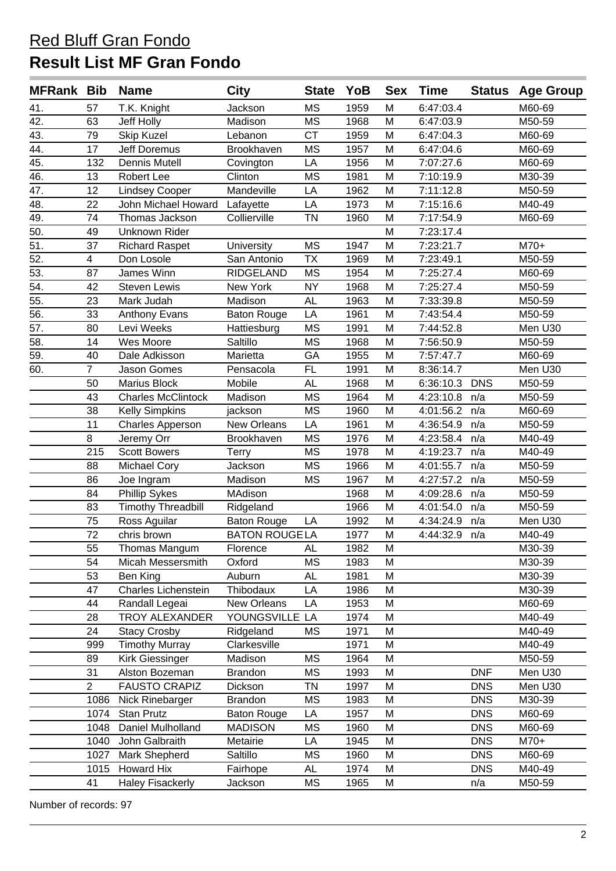# **Result List MF Gran Fondo**

| <b>MFRank Bib</b> |                | <b>Name</b>               | <b>City</b>          | <b>State</b> | YoB  | <b>Sex</b> | <b>Time</b> | <b>Status</b> | <b>Age Group</b> |
|-------------------|----------------|---------------------------|----------------------|--------------|------|------------|-------------|---------------|------------------|
| 41.               | 57             | T.K. Knight               | Jackson              | <b>MS</b>    | 1959 | M          | 6:47:03.4   |               | M60-69           |
| 42.               | 63             | Jeff Holly                | Madison              | <b>MS</b>    | 1968 | M          | 6:47:03.9   |               | M50-59           |
| 43.               | 79             | Skip Kuzel                | Lebanon              | <b>CT</b>    | 1959 | M          | 6:47:04.3   |               | M60-69           |
| 44.               | 17             | <b>Jeff Doremus</b>       | Brookhaven           | <b>MS</b>    | 1957 | M          | 6:47:04.6   |               | M60-69           |
| 45.               | 132            | Dennis Mutell             | Covington            | LA           | 1956 | M          | 7:07:27.6   |               | M60-69           |
| 46.               | 13             | Robert Lee                | Clinton              | <b>MS</b>    | 1981 | M          | 7:10:19.9   |               | M30-39           |
| 47.               | 12             | <b>Lindsey Cooper</b>     | Mandeville           | LA           | 1962 | M          | 7:11:12.8   |               | M50-59           |
| 48.               | 22             | John Michael Howard       | Lafayette            | LA           | 1973 | M          | 7:15:16.6   |               | M40-49           |
| 49.               | 74             | Thomas Jackson            | Collierville         | <b>TN</b>    | 1960 | M          | 7:17:54.9   |               | M60-69           |
| $\overline{50}$ . | 49             | <b>Unknown Rider</b>      |                      |              |      | M          | 7:23:17.4   |               |                  |
| 51.               | 37             | <b>Richard Raspet</b>     | University           | <b>MS</b>    | 1947 | M          | 7:23:21.7   |               | $M70+$           |
| 52.               | 4              | Don Losole                | San Antonio          | <b>TX</b>    | 1969 | M          | 7:23:49.1   |               | M50-59           |
| 53.               | 87             | James Winn                | <b>RIDGELAND</b>     | <b>MS</b>    | 1954 | M          | 7:25:27.4   |               | M60-69           |
| $\overline{54}$ . | 42             | <b>Steven Lewis</b>       | New York             | <b>NY</b>    | 1968 | M          | 7:25:27.4   |               | M50-59           |
| 55.               | 23             | Mark Judah                | Madison              | <b>AL</b>    | 1963 | M          | 7:33:39.8   |               | M50-59           |
| 56.               | 33             | Anthony Evans             | <b>Baton Rouge</b>   | LA           | 1961 | M          | 7:43:54.4   |               | M50-59           |
| 57.               | 80             | Levi Weeks                | Hattiesburg          | <b>MS</b>    | 1991 | M          | 7:44:52.8   |               | Men U30          |
| $\overline{58}$ . | 14             | Wes Moore                 | Saltillo             | <b>MS</b>    | 1968 | M          | 7:56:50.9   |               | M50-59           |
| 59.               | 40             | Dale Adkisson             | Marietta             | GA           | 1955 | M          | 7:57:47.7   |               | M60-69           |
| 60.               | $\overline{7}$ | Jason Gomes               | Pensacola            | <b>FL</b>    | 1991 | M          | 8:36:14.7   |               | Men U30          |
|                   | 50             | Marius Block              | Mobile               | <b>AL</b>    | 1968 | M          | 6:36:10.3   | <b>DNS</b>    | M50-59           |
|                   | 43             | <b>Charles McClintock</b> | Madison              | <b>MS</b>    | 1964 | M          | 4:23:10.8   | n/a           | M50-59           |
|                   | 38             | <b>Kelly Simpkins</b>     | jackson              | <b>MS</b>    | 1960 | M          | 4:01:56.2   | n/a           | M60-69           |
|                   | 11             | <b>Charles Apperson</b>   | New Orleans          | LA           | 1961 | M          | 4:36:54.9   | n/a           | M50-59           |
|                   | 8              | Jeremy Orr                | Brookhaven           | <b>MS</b>    | 1976 | M          | 4:23:58.4   | n/a           | M40-49           |
|                   | 215            | <b>Scott Bowers</b>       | Terry                | <b>MS</b>    | 1978 | M          | 4:19:23.7   | n/a           | M40-49           |
|                   | 88             | Michael Cory              | Jackson              | <b>MS</b>    | 1966 | M          | 4:01:55.7   | n/a           | M50-59           |
|                   | 86             | Joe Ingram                | Madison              | <b>MS</b>    | 1967 | M          | 4:27:57.2   | n/a           | M50-59           |
|                   | 84             | <b>Phillip Sykes</b>      | MAdison              |              | 1968 | M          | 4:09:28.6   | n/a           | M50-59           |
|                   | 83             | <b>Timothy Threadbill</b> | Ridgeland            |              | 1966 | M          | 4:01:54.0   | n/a           | M50-59           |
|                   | 75             | Ross Aguilar              | <b>Baton Rouge</b>   | LA           | 1992 | M          | 4:34:24.9   | n/a           | Men U30          |
|                   | 72             | chris brown               | <b>BATON ROUGELA</b> |              | 1977 | M          | 4:44:32.9   | n/a           | M40-49           |
|                   | 55             | Thomas Mangum             | Florence             | AL           | 1982 | ${\sf M}$  |             |               | M30-39           |
|                   | 54             | Micah Messersmith         | Oxford               | <b>MS</b>    | 1983 | M          |             |               | M30-39           |
|                   | 53             | Ben King                  | Auburn               | <b>AL</b>    | 1981 | M          |             |               | M30-39           |
|                   | 47             | Charles Lichenstein       | Thibodaux            | LA           | 1986 | M          |             |               | M30-39           |
|                   | 44             | Randall Legeai            | New Orleans          | LA           | 1953 | M          |             |               | M60-69           |
|                   | 28             | <b>TROY ALEXANDER</b>     | YOUNGSVILLE LA       |              | 1974 | M          |             |               | M40-49           |
|                   | 24             | <b>Stacy Crosby</b>       | Ridgeland            | <b>MS</b>    | 1971 | M          |             |               | M40-49           |
|                   | 999            | <b>Timothy Murray</b>     | Clarkesville         |              | 1971 | M          |             |               | M40-49           |
|                   | 89             | Kirk Giessinger           | Madison              | <b>MS</b>    | 1964 | M          |             |               | M50-59           |
|                   | 31             | Alston Bozeman            | <b>Brandon</b>       | <b>MS</b>    | 1993 | M          |             | <b>DNF</b>    | Men U30          |
|                   | $\overline{2}$ | <b>FAUSTO CRAPIZ</b>      | Dickson              | <b>TN</b>    | 1997 | M          |             | <b>DNS</b>    | Men U30          |
|                   | 1086           | Nick Rinebarger           | <b>Brandon</b>       | <b>MS</b>    | 1983 | M          |             | <b>DNS</b>    | M30-39           |
|                   | 1074           | Stan Prutz                | <b>Baton Rouge</b>   | LA           | 1957 | M          |             | <b>DNS</b>    | M60-69           |
|                   | 1048           | Daniel Mulholland         | <b>MADISON</b>       | <b>MS</b>    | 1960 | M          |             | <b>DNS</b>    | M60-69           |
|                   | 1040           | John Galbraith            | Metairie             | LA           | 1945 | M          |             | <b>DNS</b>    | M70+             |
|                   | 1027           | Mark Shepherd             | Saltillo             | <b>MS</b>    | 1960 | M          |             | <b>DNS</b>    | M60-69           |
|                   | 1015           | <b>Howard Hix</b>         | Fairhope             | AL           | 1974 | M          |             | <b>DNS</b>    | M40-49           |
|                   | 41             | <b>Haley Fisackerly</b>   | Jackson              | <b>MS</b>    | 1965 | M          |             | n/a           | M50-59           |

Number of records: 97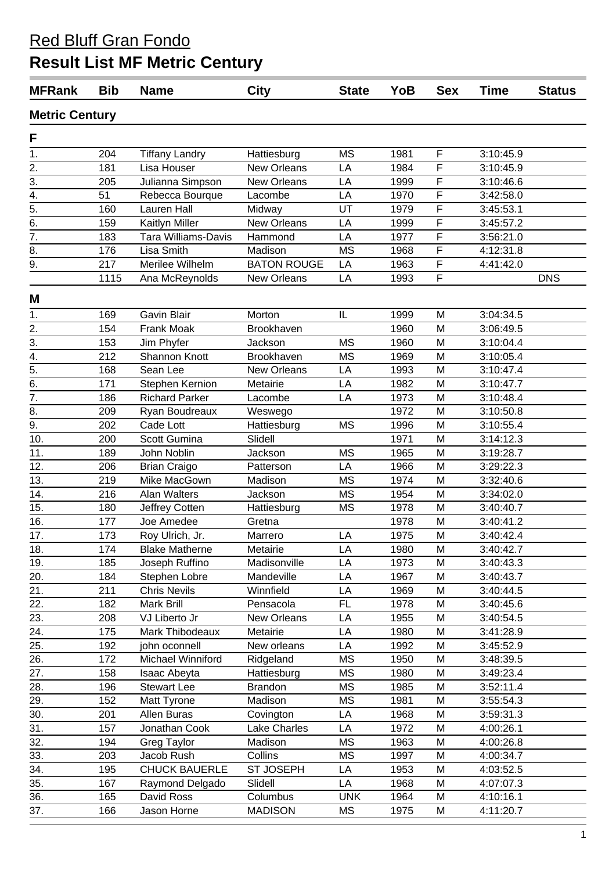# **Result List MF Metric Century**

| <b>MFRank</b>                      | <b>Bib</b> | <b>Name</b>           | <b>City</b>        | <b>State</b> | YoB  | <b>Sex</b>              | <b>Time</b> | <b>Status</b> |  |  |  |
|------------------------------------|------------|-----------------------|--------------------|--------------|------|-------------------------|-------------|---------------|--|--|--|
| <b>Metric Century</b>              |            |                       |                    |              |      |                         |             |               |  |  |  |
| F                                  |            |                       |                    |              |      |                         |             |               |  |  |  |
| 1.                                 | 204        | <b>Tiffany Landry</b> | Hattiesburg        | <b>MS</b>    | 1981 | F                       | 3:10:45.9   |               |  |  |  |
| 2.                                 | 181        | Lisa Houser           | <b>New Orleans</b> | LA           | 1984 | F                       | 3:10:45.9   |               |  |  |  |
| $\overline{3}$ .                   | 205        | Julianna Simpson      | <b>New Orleans</b> | LA           | 1999 | F                       | 3:10:46.6   |               |  |  |  |
|                                    | 51         | Rebecca Bourque       | Lacombe            | LA           | 1970 | $\overline{\mathsf{F}}$ | 3:42:58.0   |               |  |  |  |
| $\frac{4}{5}$ .<br>$\frac{5}{6}$ . | 160        | <b>Lauren Hall</b>    | Midway             | UT           | 1979 | F                       | 3:45:53.1   |               |  |  |  |
|                                    | 159        | Kaitlyn Miller        | <b>New Orleans</b> | LA           | 1999 | F                       | 3:45:57.2   |               |  |  |  |
| $\overline{7}$ .                   | 183        | Tara Williams-Davis   | Hammond            | LA           | 1977 | F                       | 3:56:21.0   |               |  |  |  |
| 8.                                 | 176        | Lisa Smith            | Madison            | <b>MS</b>    | 1968 | F                       | 4:12:31.8   |               |  |  |  |
| $\overline{9}$ .                   | 217        | Merilee Wilhelm       | <b>BATON ROUGE</b> | LA           | 1963 | $\overline{F}$          | 4:41:42.0   |               |  |  |  |
|                                    | 1115       | Ana McReynolds        | <b>New Orleans</b> | LA           | 1993 | F                       |             | <b>DNS</b>    |  |  |  |
|                                    |            |                       |                    |              |      |                         |             |               |  |  |  |
| M                                  |            |                       |                    |              |      |                         |             |               |  |  |  |
| 1.                                 | 169        | Gavin Blair           | Morton             | IL           | 1999 | M                       | 3:04:34.5   |               |  |  |  |
| $\overline{2}$ .                   | 154        | <b>Frank Moak</b>     | Brookhaven         |              | 1960 | M                       | 3:06:49.5   |               |  |  |  |
| $\overline{3}$ .                   | 153        | Jim Phyfer            | Jackson            | <b>MS</b>    | 1960 | M                       | 3:10:04.4   |               |  |  |  |
| $\overline{4}$ .                   | 212        | Shannon Knott         | Brookhaven         | <b>MS</b>    | 1969 | M                       | 3:10:05.4   |               |  |  |  |
| $\overline{5}$ .                   | 168        | Sean Lee              | <b>New Orleans</b> | LA           | 1993 | M                       | 3:10:47.4   |               |  |  |  |
| $\overline{6}$ .                   | 171        | Stephen Kernion       | Metairie           | LA           | 1982 | M                       | 3:10:47.7   |               |  |  |  |
| $\overline{7}$ .                   | 186        | <b>Richard Parker</b> | Lacombe            | LA           | 1973 | M                       | 3:10:48.4   |               |  |  |  |
| 8.                                 | 209        | Ryan Boudreaux        | Weswego            |              | 1972 | M                       | 3:10:50.8   |               |  |  |  |
| $\overline{9}$ .                   | 202        | Cade Lott             | Hattiesburg        | <b>MS</b>    | 1996 | M                       | 3:10:55.4   |               |  |  |  |
| 10.                                | 200        | Scott Gumina          | Slidell            |              | 1971 | M                       | 3:14:12.3   |               |  |  |  |
| 11.                                | 189        | John Noblin           | Jackson            | <b>MS</b>    | 1965 | M                       | 3:19:28.7   |               |  |  |  |
| 12.                                | 206        | <b>Brian Craigo</b>   | Patterson          | LA           | 1966 | M                       | 3:29:22.3   |               |  |  |  |
| 13.                                | 219        | Mike MacGown          | Madison            | <b>MS</b>    | 1974 | M                       | 3:32:40.6   |               |  |  |  |
| 14.                                | 216        | Alan Walters          | Jackson            | <b>MS</b>    | 1954 | M                       | 3:34:02.0   |               |  |  |  |
| 15.                                | 180        | Jeffrey Cotten        | Hattiesburg        | <b>MS</b>    | 1978 | M                       | 3:40:40.7   |               |  |  |  |
| 16.                                | 177        | Joe Amedee            | Gretna             |              | 1978 | M                       | 3:40:41.2   |               |  |  |  |
| 17.                                | 173        | Roy Ulrich, Jr.       | Marrero            | LA           | 1975 | M                       | 3:40:42.4   |               |  |  |  |
| 18.                                | 174        | <b>Blake Matherne</b> | Metairie           | LA           | 1980 | M                       | 3:40:42.7   |               |  |  |  |
| 19.                                | 185        | Joseph Ruffino        | Madisonville       | LA           | 1973 | M                       | 3:40:43.3   |               |  |  |  |
| 20.                                | 184        | Stephen Lobre         | Mandeville         | LA           | 1967 | M                       | 3:40:43.7   |               |  |  |  |
| 21.                                | 211        | <b>Chris Nevils</b>   | Winnfield          | LA           | 1969 | M                       | 3:40:44.5   |               |  |  |  |
| 22.                                | 182        | Mark Brill            | Pensacola          | FL           | 1978 | M                       | 3:40:45.6   |               |  |  |  |
| 23.                                | 208        | VJ Liberto Jr         | New Orleans        | LA           | 1955 | M                       | 3:40:54.5   |               |  |  |  |
| 24.                                | 175        | Mark Thibodeaux       | Metairie           | LA           | 1980 | M                       | 3:41:28.9   |               |  |  |  |
| 25.                                | 192        | john oconnell         | New orleans        | LA           | 1992 | M                       | 3:45:52.9   |               |  |  |  |
| 26.                                | 172        | Michael Winniford     | Ridgeland          | MS           | 1950 | M                       | 3:48:39.5   |               |  |  |  |
| 27.                                | 158        | Isaac Abeyta          | Hattiesburg        | MS           | 1980 | M                       | 3:49:23.4   |               |  |  |  |
| 28.                                | 196        | <b>Stewart Lee</b>    | <b>Brandon</b>     | MS           | 1985 | M                       | 3:52:11.4   |               |  |  |  |
| 29.                                | 152        | Matt Tyrone           | Madison            | MS           | 1981 | M                       | 3:55:54.3   |               |  |  |  |
| 30.                                | 201        | Allen Buras           | Covington          | LA           | 1968 | M                       | 3:59:31.3   |               |  |  |  |
| 31.                                | 157        | Jonathan Cook         | Lake Charles       | LA           | 1972 | M                       | 4:00:26.1   |               |  |  |  |
| 32.                                | 194        | Greg Taylor           | Madison            | MS           | 1963 | M                       | 4:00:26.8   |               |  |  |  |
| 33.                                | 203        | Jacob Rush            | Collins            | МS           | 1997 | M                       | 4:00:34.7   |               |  |  |  |
| 34.                                | 195        | <b>CHUCK BAUERLE</b>  | <b>ST JOSEPH</b>   | LA           | 1953 | M                       | 4:03:52.5   |               |  |  |  |
| 35.                                | 167        | Raymond Delgado       | Slidell            | LA           | 1968 | M                       | 4:07:07.3   |               |  |  |  |
| 36.                                | 165        | David Ross            | Columbus           | <b>UNK</b>   | 1964 | M                       | 4:10:16.1   |               |  |  |  |
| 37.                                | 166        | Jason Horne           | <b>MADISON</b>     | MS           | 1975 | M                       | 4:11:20.7   |               |  |  |  |
|                                    |            |                       |                    |              |      |                         |             |               |  |  |  |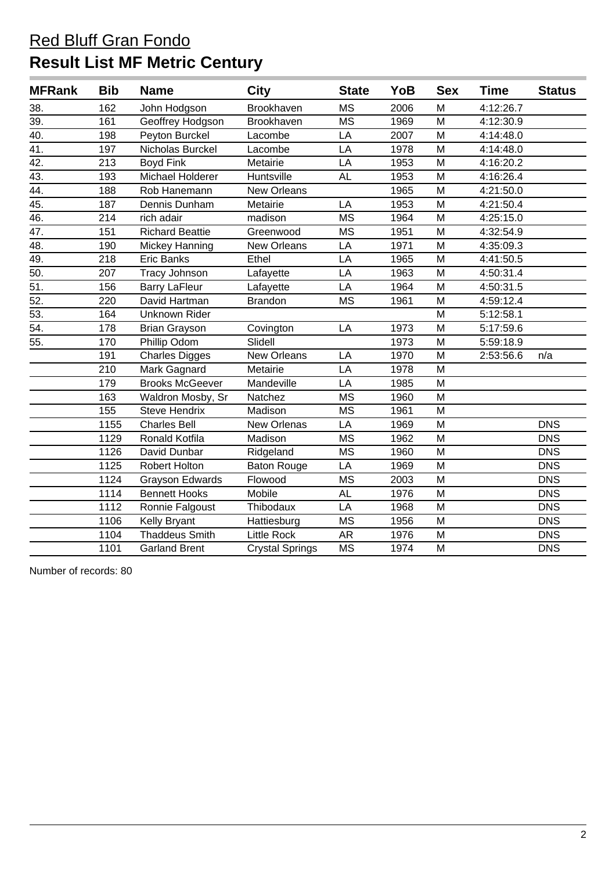## **Result List MF Metric Century**

| <b>MFRank</b>     | <b>Bib</b> | <b>Name</b>            | <b>City</b>            | <b>State</b> | YoB  | <b>Sex</b> | <b>Time</b> | <b>Status</b> |
|-------------------|------------|------------------------|------------------------|--------------|------|------------|-------------|---------------|
| 38.               | 162        | John Hodgson           | Brookhaven             | <b>MS</b>    | 2006 | M          | 4:12:26.7   |               |
| 39.               | 161        | Geoffrey Hodgson       | Brookhaven             | <b>MS</b>    | 1969 | M          | 4:12:30.9   |               |
| 40.               | 198        | Peyton Burckel         | Lacombe                | LA           | 2007 | M          | 4:14:48.0   |               |
| 41.               | 197        | Nicholas Burckel       | Lacombe                | LA           | 1978 | M          | 4:14:48.0   |               |
| $\overline{42.}$  | 213        | <b>Boyd Fink</b>       | Metairie               | LA           | 1953 | M          | 4:16:20.2   |               |
| 43.               | 193        | Michael Holderer       | Huntsville             | <b>AL</b>    | 1953 | M          | 4:16:26.4   |               |
| 44.               | 188        | Rob Hanemann           | New Orleans            |              | 1965 | M          | 4:21:50.0   |               |
| 45.               | 187        | Dennis Dunham          | Metairie               | LA           | 1953 | M          | 4:21:50.4   |               |
| 46.               | 214        | rich adair             | madison                | <b>MS</b>    | 1964 | M          | 4:25:15.0   |               |
| 47.               | 151        | <b>Richard Beattie</b> | Greenwood              | <b>MS</b>    | 1951 | M          | 4:32:54.9   |               |
| $\overline{48}$ . | 190        | <b>Mickey Hanning</b>  | New Orleans            | LA           | 1971 | M          | 4:35:09.3   |               |
| $\overline{49}$ . | 218        | <b>Eric Banks</b>      | Ethel                  | LA           | 1965 | M          | 4:41:50.5   |               |
| 50.               | 207        | <b>Tracy Johnson</b>   | Lafayette              | LA           | 1963 | M          | 4:50:31.4   |               |
| $\overline{51}$   | 156        | <b>Barry LaFleur</b>   | Lafayette              | LA           | 1964 | M          | 4:50:31.5   |               |
| 52.               | 220        | David Hartman          | <b>Brandon</b>         | <b>MS</b>    | 1961 | M          | 4:59:12.4   |               |
| 53.               | 164        | Unknown Rider          |                        |              |      | M          | 5:12:58.1   |               |
| $\overline{54}$ . | 178        | <b>Brian Grayson</b>   | Covington              | LA           | 1973 | M          | 5:17:59.6   |               |
| 55.               | 170        | Phillip Odom           | Slidell                |              | 1973 | M          | 5:59:18.9   |               |
|                   | 191        | <b>Charles Digges</b>  | New Orleans            | LA           | 1970 | M          | 2:53:56.6   | n/a           |
|                   | 210        | Mark Gagnard           | Metairie               | LA           | 1978 | M          |             |               |
|                   | 179        | <b>Brooks McGeever</b> | Mandeville             | LA           | 1985 | M          |             |               |
|                   | 163        | Waldron Mosby, Sr      | Natchez                | <b>MS</b>    | 1960 | M          |             |               |
|                   | 155        | <b>Steve Hendrix</b>   | Madison                | <b>MS</b>    | 1961 | M          |             |               |
|                   | 1155       | <b>Charles Bell</b>    | New Orlenas            | LA           | 1969 | M          |             | <b>DNS</b>    |
|                   | 1129       | Ronald Kotfila         | Madison                | <b>MS</b>    | 1962 | M          |             | <b>DNS</b>    |
|                   | 1126       | David Dunbar           | Ridgeland              | <b>MS</b>    | 1960 | M          |             | <b>DNS</b>    |
|                   | 1125       | <b>Robert Holton</b>   | <b>Baton Rouge</b>     | LA           | 1969 | M          |             | <b>DNS</b>    |
|                   | 1124       | <b>Grayson Edwards</b> | Flowood                | <b>MS</b>    | 2003 | M          |             | <b>DNS</b>    |
|                   | 1114       | <b>Bennett Hooks</b>   | Mobile                 | <b>AL</b>    | 1976 | M          |             | <b>DNS</b>    |
|                   | 1112       | Ronnie Falgoust        | Thibodaux              | LA           | 1968 | M          |             | <b>DNS</b>    |
|                   | 1106       | Kelly Bryant           | Hattiesburg            | <b>MS</b>    | 1956 | M          |             | <b>DNS</b>    |
|                   | 1104       | <b>Thaddeus Smith</b>  | <b>Little Rock</b>     | <b>AR</b>    | 1976 | M          |             | <b>DNS</b>    |
|                   | 1101       | <b>Garland Brent</b>   | <b>Crystal Springs</b> | <b>MS</b>    | 1974 | M          |             | <b>DNS</b>    |

Number of records: 80